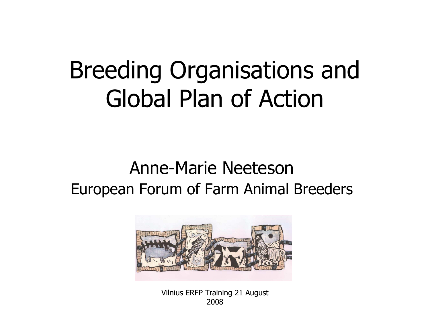### Breeding Organisations and Global Plan of Action

#### Anne-Marie NeetesonEuropean Forum of Farm Animal Breeders



Vilnius ERFP Training 21 August 2008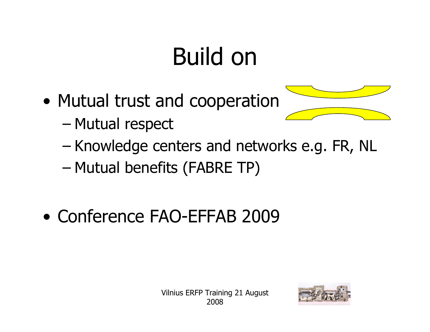# Build on

- $\bullet$ Mutual trust and cooperation
	- –Mutual respect
	- –Knowledge centers and networks e.g. FR, NL<br>Mutual benefits (FARDE TD)
	- –Mutual benefits (FABRE TP)
- $\bullet$ Conference FAO-EFFAB 2009



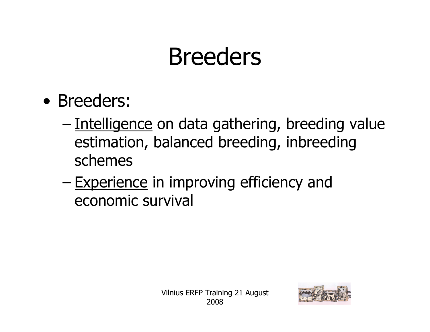### Breeders

- $\bullet$ Breeders:<br>Antollian
	- –Intelligence on data gathering, breeding value<br>estimation, balanced breeding, inbreeding estimation, balanced breeding, inbreeding schemes
	- –Experience in improving efficiency and<br>economic survival economic survival

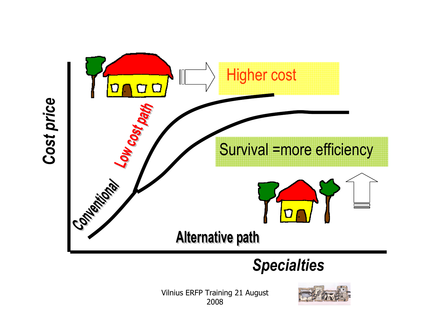

#### **Specialties**

Vilnius ERFP Training 21 August 2008

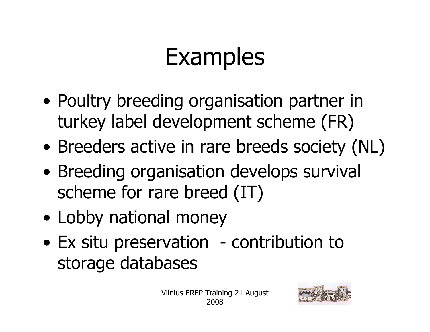## Examples

- $\bullet$ Poultry breeding organisation partner in<br>turkey label development scheme (FR) turkey label development scheme (FR)
- $\bullet$ Breeders active in rare breeds society (NL)
- $\bullet$ Breeding organisation develops survival<br>scheme for rare breed (IT) scheme for rare breed (IT)
- $\bullet$ Lobby national money
- $\bullet$ Ex situ preservation - contribution to<br>storage databases storage databases